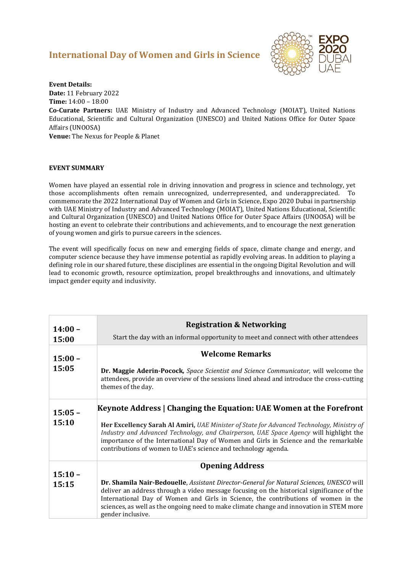## **International Day of Women and Girls in Science**



**Event Details: Date:** 11 February 2022 **Time:** 14:00 – 18:00

**Co-Curate Partners:** UAE Ministry of Industry and Advanced Technology (MOIAT), United Nations Educational, Scientific and Cultural Organization (UNESCO) and United Nations Office for Outer Space Affairs (UNOOSA)

**Venue:** The Nexus for People & Planet

## **EVENT SUMMARY**

Women have played an essential role in driving innovation and progress in science and technology, yet those accomplishments often remain unrecognized, underrepresented, and underappreciated. To commemorate the 2022 International Day of Women and Girls in Science, Expo 2020 Dubai in partnership with UAE Ministry of Industry and Advanced Technology (MOIAT), United Nations Educational, Scientific and Cultural Organization (UNESCO) and United Nations Office for Outer Space Affairs (UNOOSA) will be hosting an event to celebrate their contributions and achievements, and to encourage the next generation of young women and girls to pursue careers in the sciences.

The event will specifically focus on new and emerging fields of space, climate change and energy, and computer science because they have immense potential as rapidly evolving areas. In addition to playing a defining role in our shared future, these disciplines are essential in the ongoing Digital Revolution and will lead to economic growth, resource optimization, propel breakthroughs and innovations, and ultimately impact gender equity and inclusivity.

| $14:00 -$<br>15:00 | <b>Registration &amp; Networking</b><br>Start the day with an informal opportunity to meet and connect with other attendees                                                                                                                                                                                                                                                                                                    |
|--------------------|--------------------------------------------------------------------------------------------------------------------------------------------------------------------------------------------------------------------------------------------------------------------------------------------------------------------------------------------------------------------------------------------------------------------------------|
| $15:00 -$<br>15:05 | <b>Welcome Remarks</b><br>Dr. Maggie Aderin-Pocock, Space Scientist and Science Communicator, will welcome the<br>attendees, provide an overview of the sessions lined ahead and introduce the cross-cutting<br>themes of the day.                                                                                                                                                                                             |
| $15:05 -$<br>15:10 | Keynote Address   Changing the Equation: UAE Women at the Forefront<br><b>Her Excellency Sarah Al Amiri, UAE Minister of State for Advanced Technology, Ministry of</b><br>Industry and Advanced Technology, and Chairperson, UAE Space Agency will highlight the<br>importance of the International Day of Women and Girls in Science and the remarkable<br>contributions of women to UAE's science and technology agenda.    |
| $15:10 -$<br>15:15 | <b>Opening Address</b><br><b>Dr. Shamila Nair-Bedouelle</b> , Assistant Director-General for Natural Sciences, UNESCO will<br>deliver an address through a video message focusing on the historical significance of the<br>International Day of Women and Girls in Science, the contributions of women in the<br>sciences, as well as the ongoing need to make climate change and innovation in STEM more<br>gender inclusive. |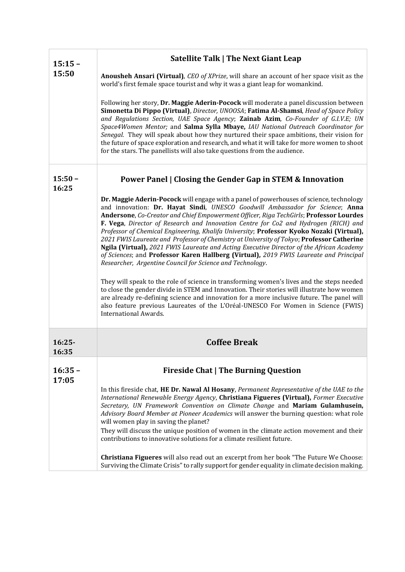| $15:15 -$          | <b>Satellite Talk   The Next Giant Leap</b>                                                                                                                                                                                                                                                                                                                                                                                                                                                                                                                                                                                                                                                                                                                                                          |
|--------------------|------------------------------------------------------------------------------------------------------------------------------------------------------------------------------------------------------------------------------------------------------------------------------------------------------------------------------------------------------------------------------------------------------------------------------------------------------------------------------------------------------------------------------------------------------------------------------------------------------------------------------------------------------------------------------------------------------------------------------------------------------------------------------------------------------|
| 15:50              | <b>Anousheh Ansari (Virtual),</b> CEO of XPrize, will share an account of her space visit as the<br>world's first female space tourist and why it was a giant leap for womankind.                                                                                                                                                                                                                                                                                                                                                                                                                                                                                                                                                                                                                    |
|                    | Following her story, Dr. Maggie Aderin-Pocock will moderate a panel discussion between<br>Simonetta Di Pippo (Virtual), Director, UNOOSA; Fatima Al-Shamsi, Head of Space Policy<br>and Regulations Section, UAE Space Agency; Zainab Azim, Co-Founder of G.I.V.E; UN<br>Space4Women Mentor; and Salma Sylla Mbaye, IAU National Outreach Coordinator for<br>Senegal. They will speak about how they nurtured their space ambitions, their vision for<br>the future of space exploration and research, and what it will take for more women to shoot<br>for the stars. The panellists will also take questions from the audience.                                                                                                                                                                    |
| $15:50 -$<br>16:25 | <b>Power Panel   Closing the Gender Gap in STEM &amp; Innovation</b>                                                                                                                                                                                                                                                                                                                                                                                                                                                                                                                                                                                                                                                                                                                                 |
|                    | Dr. Maggie Aderin-Pocock will engage with a panel of powerhouses of science, technology<br>and innovation: Dr. Hayat Sindi, UNESCO Goodwill Ambassador for Science; Anna<br>Andersone, Co-Creator and Chief Empowerment Officer, Riga TechGirls; Professor Lourdes<br>F. Vega, Director of Research and Innovation Centre for Co2 and Hydrogen (RICH) and<br>Professor of Chemical Engineering, Khalifa University; Professor Kyoko Nozaki (Virtual),<br>2021 FWIS Laureate and Professor of Chemistry at University of Tokyo; Professor Catherine<br>Ngila (Virtual), 2021 FWIS Laureate and Acting Executive Director of the African Academy<br>of Sciences; and Professor Karen Hallberg (Virtual), 2019 FWIS Laureate and Principal<br>Researcher, Argentine Council for Science and Technology. |
|                    | They will speak to the role of science in transforming women's lives and the steps needed<br>to close the gender divide in STEM and Innovation. Their stories will illustrate how women<br>are already re-defining science and innovation for a more inclusive future. The panel will<br>also feature previous Laureates of the L'Oréal-UNESCO For Women in Science (FWIS)<br><b>International Awards.</b>                                                                                                                                                                                                                                                                                                                                                                                           |
| $16:25-$<br>16:35  | <b>Coffee Break</b>                                                                                                                                                                                                                                                                                                                                                                                                                                                                                                                                                                                                                                                                                                                                                                                  |
| $16:35 -$          | <b>Fireside Chat   The Burning Question</b>                                                                                                                                                                                                                                                                                                                                                                                                                                                                                                                                                                                                                                                                                                                                                          |
| 17:05              | In this fireside chat, HE Dr. Nawal Al Hosany, Permanent Representative of the UAE to the<br>International Renewable Energy Agency, Christiana Figueres (Virtual), Former Executive<br>Secretary, UN Framework Convention on Climate Change and Mariam Gulamhusein,<br>Advisory Board Member at Pioneer Academics will answer the burning question: what role<br>will women play in saving the planet?<br>They will discuss the unique position of women in the climate action movement and their<br>contributions to innovative solutions for a climate resilient future.<br>Christiana Figueres will also read out an excerpt from her book "The Future We Choose:<br>Surviving the Climate Crisis" to rally support for gender equality in climate decision making.                               |